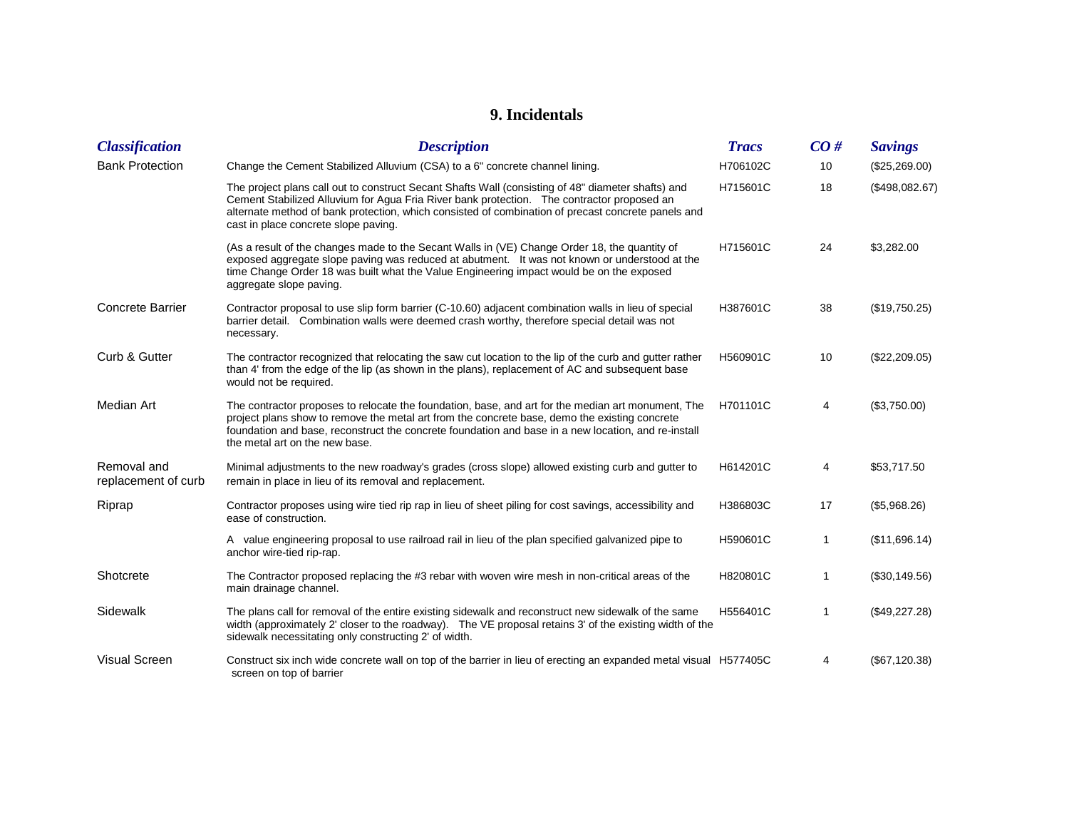## **9. Incidentals**

| <b>Classification</b>              | <b>Description</b>                                                                                                                                                                                                                                                                                                                             | <b>Tracs</b> | CO#          | <b>Savings</b> |
|------------------------------------|------------------------------------------------------------------------------------------------------------------------------------------------------------------------------------------------------------------------------------------------------------------------------------------------------------------------------------------------|--------------|--------------|----------------|
| <b>Bank Protection</b>             | Change the Cement Stabilized Alluvium (CSA) to a 6" concrete channel lining.                                                                                                                                                                                                                                                                   | H706102C     | 10           | (\$25,269.00)  |
|                                    | The project plans call out to construct Secant Shafts Wall (consisting of 48" diameter shafts) and<br>Cement Stabilized Alluvium for Agua Fria River bank protection. The contractor proposed an<br>alternate method of bank protection, which consisted of combination of precast concrete panels and<br>cast in place concrete slope paving. | H715601C     | 18           | (\$498,082.67) |
|                                    | (As a result of the changes made to the Secant Walls in (VE) Change Order 18, the quantity of<br>exposed aggregate slope paving was reduced at abutment. It was not known or understood at the<br>time Change Order 18 was built what the Value Engineering impact would be on the exposed<br>aggregate slope paving.                          | H715601C     | 24           | \$3,282.00     |
| <b>Concrete Barrier</b>            | Contractor proposal to use slip form barrier (C-10.60) adjacent combination walls in lieu of special<br>barrier detail. Combination walls were deemed crash worthy, therefore special detail was not<br>necessary.                                                                                                                             | H387601C     | 38           | (\$19,750.25)  |
| Curb & Gutter                      | The contractor recognized that relocating the saw cut location to the lip of the curb and gutter rather<br>than 4' from the edge of the lip (as shown in the plans), replacement of AC and subsequent base<br>would not be required.                                                                                                           | H560901C     | 10           | (\$22,209.05)  |
| Median Art                         | The contractor proposes to relocate the foundation, base, and art for the median art monument, The<br>project plans show to remove the metal art from the concrete base, demo the existing concrete<br>foundation and base, reconstruct the concrete foundation and base in a new location, and re-install<br>the metal art on the new base.   | H701101C     | 4            | (\$3,750.00)   |
| Removal and<br>replacement of curb | Minimal adjustments to the new roadway's grades (cross slope) allowed existing curb and gutter to<br>remain in place in lieu of its removal and replacement.                                                                                                                                                                                   | H614201C     | 4            | \$53,717.50    |
| Riprap                             | Contractor proposes using wire tied rip rap in lieu of sheet piling for cost savings, accessibility and<br>ease of construction.                                                                                                                                                                                                               | H386803C     | 17           | (\$5,968.26)   |
|                                    | A value engineering proposal to use railroad rail in lieu of the plan specified galvanized pipe to<br>anchor wire-tied rip-rap.                                                                                                                                                                                                                | H590601C     | 1            | (\$11,696.14)  |
| Shotcrete                          | The Contractor proposed replacing the #3 rebar with woven wire mesh in non-critical areas of the<br>main drainage channel.                                                                                                                                                                                                                     | H820801C     | $\mathbf{1}$ | (\$30,149.56)  |
| Sidewalk                           | The plans call for removal of the entire existing sidewalk and reconstruct new sidewalk of the same<br>width (approximately 2' closer to the roadway). The VE proposal retains 3' of the existing width of the<br>sidewalk necessitating only constructing 2' of width.                                                                        | H556401C     | 1            | (\$49,227.28)  |
| <b>Visual Screen</b>               | Construct six inch wide concrete wall on top of the barrier in lieu of erecting an expanded metal visual H577405C<br>screen on top of barrier                                                                                                                                                                                                  |              | 4            | (\$67,120.38)  |